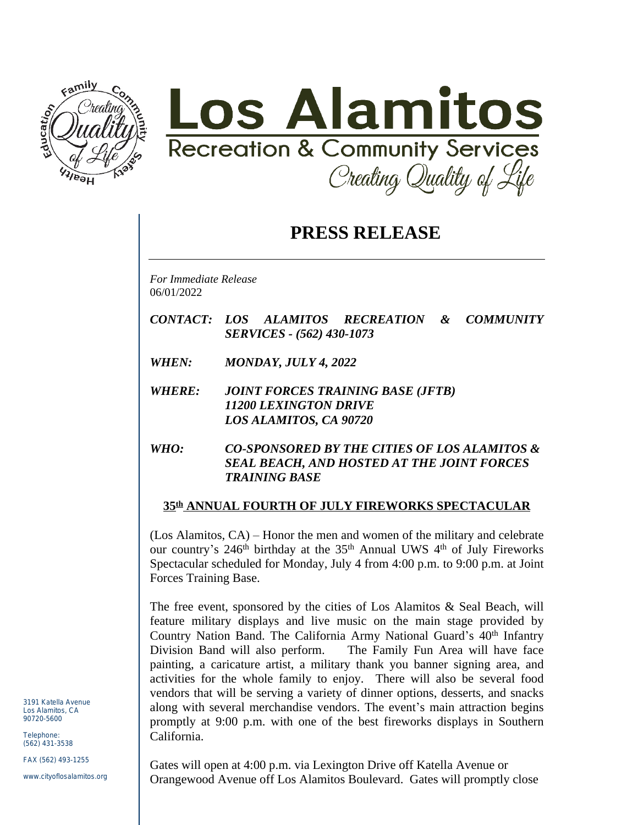



## **PRESS RELEASE**

*For Immediate Release* 06/01/2022

- *CONTACT: LOS ALAMITOS RECREATION & COMMUNITY SERVICES - (562) 430-1073*
- *WHEN: MONDAY, JULY 4, 2022*
- *WHERE: JOINT FORCES TRAINING BASE (JFTB) 11200 LEXINGTON DRIVE LOS ALAMITOS, CA 90720*
- *WHO: CO-SPONSORED BY THE CITIES OF LOS ALAMITOS & SEAL BEACH, AND HOSTED AT THE JOINT FORCES TRAINING BASE*

## **35th ANNUAL FOURTH OF JULY FIREWORKS SPECTACULAR**

(Los Alamitos, CA) – Honor the men and women of the military and celebrate our country's 246<sup>th</sup> birthday at the 35<sup>th</sup> Annual UWS 4<sup>th</sup> of July Fireworks Spectacular scheduled for Monday, July 4 from 4:00 p.m. to 9:00 p.m. at Joint Forces Training Base.

The free event, sponsored by the cities of Los Alamitos & Seal Beach, will feature military displays and live music on the main stage provided by Country Nation Band. The California Army National Guard's 40<sup>th</sup> Infantry Division Band will also perform. The Family Fun Area will have face painting, a caricature artist, a military thank you banner signing area, and activities for the whole family to enjoy. There will also be several food vendors that will be serving a variety of dinner options, desserts, and snacks along with several merchandise vendors. The event's main attraction begins promptly at 9:00 p.m. with one of the best fireworks displays in Southern California.

Gates will open at 4:00 p.m. via Lexington Drive off Katella Avenue or Orangewood Avenue off Los Alamitos Boulevard. Gates will promptly close

3191 Katella Avenue Los Alamitos, CA 90720-5600

Telephone: (562) 431-3538

FAX (562) 493-1255

www.cityoflosalamitos.org